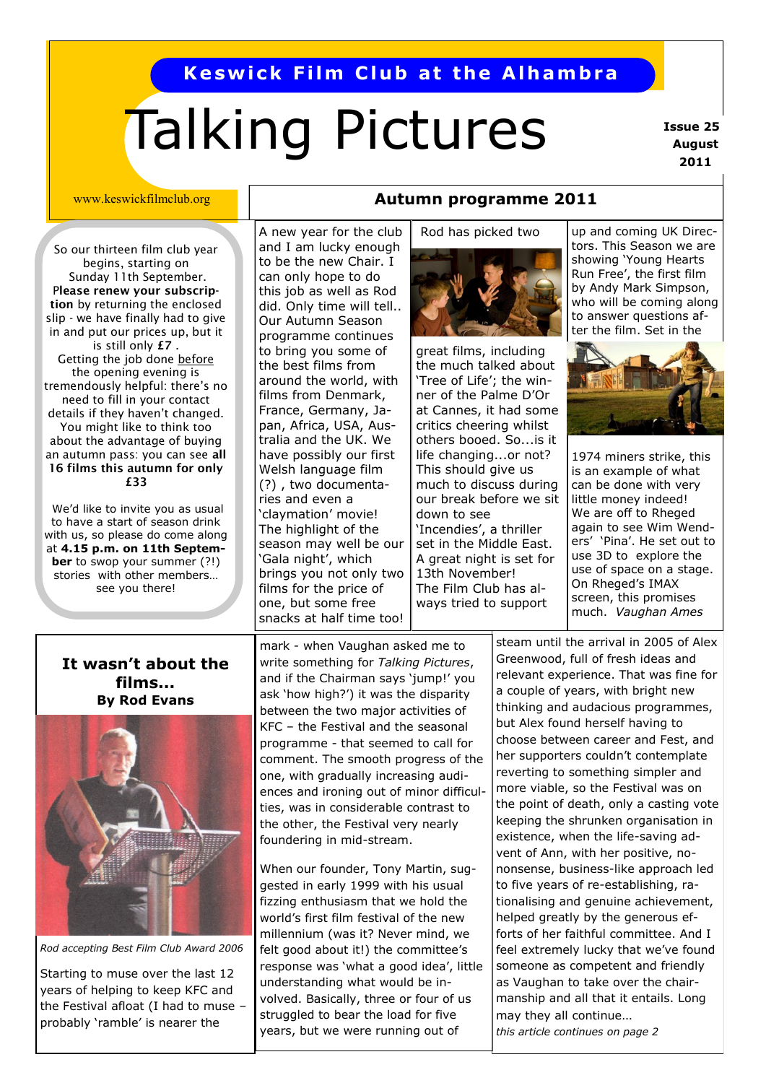# **Keswick Film Club at the Alhambra**

# Talking Pictures

**Issue 25 August 2011**

#### www.keswickfilmclub.org

So our thirteen film club year begins, starting on Sunday 11th September. P**lease renew your subscription** by returning the enclosed slip - we have finally had to give in and put our prices up, but it is still only **£7** . Getting the job done before the opening evening is tremendously helpful: there's no need to fill in your contact details if they haven't changed. You might like to think too about the advantage of buying an autumn pass: you can see **all 16 films this autumn for only £33**

We'd like to invite you as usual to have a start of season drink with us, so please do come along at **4.15 p.m. on 11th September** to swop your summer (?!) stories with other members… see you there!

#### A new year for the club and I am lucky enough to be the new Chair. I can only hope to do this job as well as Rod did. Only time will tell.. Our Autumn Season programme continues to bring you some of the best films from around the world, with films from Denmark, France, Germany, Japan, Africa, USA, Australia and the UK. We have possibly our first Welsh language film (?) , two documentaries and even a 'claymation' movie! The highlight of the season may well be our 'Gala night', which brings you not only two films for the price of one, but some free snacks at half time too!

### **Autumn programme 2011**

Rod has picked two



great films, including the much talked about 'Tree of Life'; the winner of the Palme D'Or at Cannes, it had some critics cheering whilst others booed. So...is it life changing...or not? This should give us much to discuss during our break before we sit down to see 'Incendies', a thriller set in the Middle East. A great night is set for 13th November! The Film Club has always tried to support

up and coming UK Directors. This Season we are showing 'Young Hearts Run Free', the first film by Andy Mark Simpson, who will be coming along to answer questions after the film. Set in the



1974 miners strike, this is an example of what can be done with very little money indeed! We are off to Rheged again to see Wim Wenders' 'Pina'. He set out to use 3D to explore the use of space on a stage. On Rheged's IMAX screen, this promises much. *Vaughan Ames*

#### steam until the arrival in 2005 of Alex Greenwood, full of fresh ideas and relevant experience. That was fine for a couple of years, with bright new thinking and audacious programmes, but Alex found herself having to choose between career and Fest, and her supporters couldn't contemplate reverting to something simpler and more viable, so the Festival was on the point of death, only a casting vote keeping the shrunken organisation in existence, when the life-saving advent of Ann, with her positive, nononsense, business-like approach led to five years of re-establishing, rationalising and genuine achievement, helped greatly by the generous efforts of her faithful committee. And I feel extremely lucky that we've found someone as competent and friendly as Vaughan to take over the chairmanship and all that it entails. Long may they all continue… *this article continues on page 2*

#### **It wasn't about the films... By Rod Evans**



*Rod accepting Best Film Club Award 2006* 

Starting to muse over the last 12 years of helping to keep KFC and the Festival afloat (I had to muse – probably 'ramble' is nearer the

mark - when Vaughan asked me to write something for *Talking Pictures*, and if the Chairman says 'jump!' you ask 'how high?') it was the disparity between the two major activities of KFC – the Festival and the seasonal programme - that seemed to call for comment. The smooth progress of the one, with gradually increasing audiences and ironing out of minor difficulties, was in considerable contrast to the other, the Festival very nearly foundering in mid-stream.

When our founder, Tony Martin, suggested in early 1999 with his usual fizzing enthusiasm that we hold the world's first film festival of the new millennium (was it? Never mind, we felt good about it!) the committee's response was 'what a good idea', little understanding what would be involved. Basically, three or four of us struggled to bear the load for five years, but we were running out of